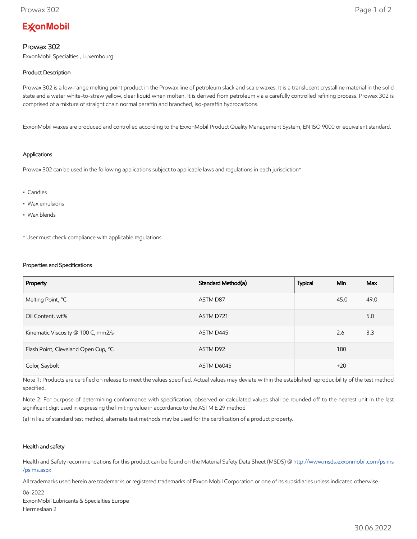# **ExconMobil**

## Prowax 302

ExxonMobil Specialties , Luxembourg

### Product Description

Prowax 302 is a low-range melting point product in the Prowax line of petroleum slack and scale waxes. It is a translucent crystalline material in the solid state and a water white-to-straw yellow, clear liquid when molten. It is derived from petroleum via a carefully controlled refining process. Prowax 302 is comprised of a mixture of straight chain normal paraffin and branched, iso-paraffin hydrocarbons.

ExxonMobil waxes are produced and controlled according to the ExxonMobil Product Quality Management System, EN ISO 9000 or equivalent standard.

#### Applications

Prowax 302 can be used in the following applications subject to applicable laws and regulations in each jurisdiction\*

- Candles
- Wax emulsions
- Wax blends

\* User must check compliance with applicable regulations

#### Properties and Specifications

| Property                            | Standard Method(a) | <b>Typical</b> | <b>Min</b> | Max  |
|-------------------------------------|--------------------|----------------|------------|------|
| Melting Point, °C                   | ASTM D87           |                | 45.0       | 49.0 |
| Oil Content, wt%                    | ASTM D721          |                |            | 5.0  |
| Kinematic Viscosity @ 100 C, mm2/s  | ASTM D445          |                | 2.6        | 3.3  |
| Flash Point, Cleveland Open Cup, °C | ASTM D92           |                | 180        |      |
| Color, Saybolt                      | ASTM D6045         |                | $+20$      |      |

Note 1: Products are certified on release to meet the values specified. Actual values may deviate within the established reproducibility of the test method specified.

Note 2: For purpose of determining conformance with specification, observed or calculated values shall be rounded off to the nearest unit in the last significant digit used in expressing the limiting value in accordance to the ASTM E 29 method

(a) In lieu of standard test method, alternate test methods may be used for the certification of a product property.

#### Health and safety

Health and Safety recommendations for this product can be found on the Material Safety Data Sheet (MSDS) @ [http://www.msds.exxonmobil.com/psims](http://www.msds.exxonmobil.com/psims/psims.aspx) /psims.aspx

All trademarks used herein are trademarks or registered trademarks of Exxon Mobil Corporation or one of its subsidiaries unless indicated otherwise.

06-2022 ExxonMobil Lubricants & Specialties Europe Hermeslaan 2